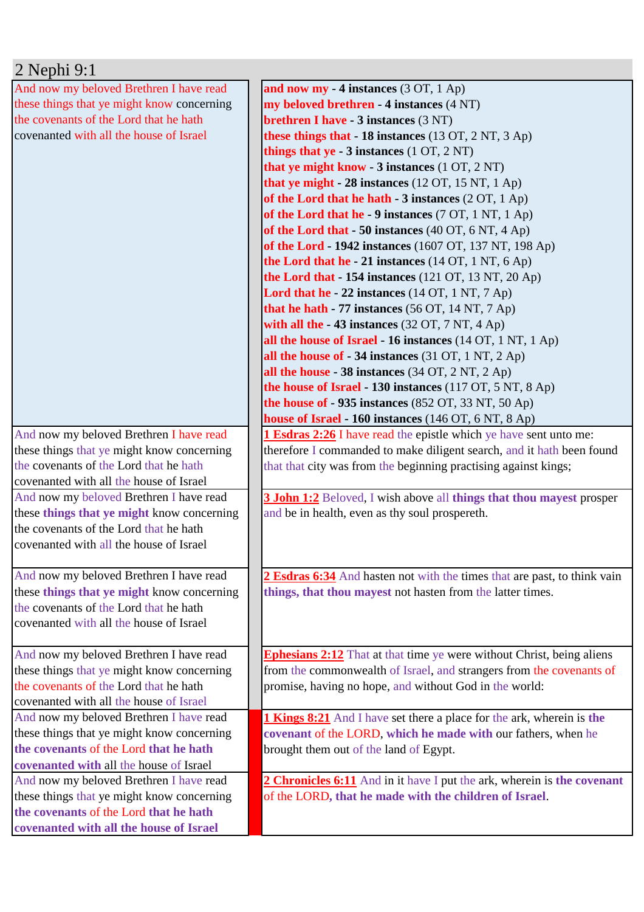| 2 Nephi 9:1                                |                                                                              |
|--------------------------------------------|------------------------------------------------------------------------------|
| And now my beloved Brethren I have read    | and now my - 4 instances $(3 OT, 1 Ap)$                                      |
| these things that ye might know concerning | my beloved brethren - 4 instances (4 NT)                                     |
| the covenants of the Lord that he hath     | <b>brethren I have - 3 instances (3 NT)</b>                                  |
| covenanted with all the house of Israel    | these things that $-18$ instances (13 OT, 2 NT, 3 Ap)                        |
|                                            | things that $ye - 3$ instances $(1 OT, 2 NT)$                                |
|                                            | that ye might know - 3 instances (1 OT, 2 NT)                                |
|                                            | that ye might - $28$ instances (12 OT, 15 NT, 1 Ap)                          |
|                                            | of the Lord that he hath $-3$ instances (2 OT, 1 Ap)                         |
|                                            | of the Lord that he - 9 instances (7 OT, 1 NT, 1 Ap)                         |
|                                            | of the Lord that $-50$ instances (40 OT, 6 NT, 4 Ap)                         |
|                                            | of the Lord - 1942 instances (1607 OT, 137 NT, 198 Ap)                       |
|                                            | the Lord that he - 21 instances $(14 OT, 1 NT, 6 Ap)$                        |
|                                            | the Lord that $-154$ instances (121 OT, 13 NT, 20 Ap)                        |
|                                            | Lord that he - 22 instances (14 OT, 1 NT, 7 Ap)                              |
|                                            | that he hath $-77$ instances (56 OT, 14 NT, 7 Ap)                            |
|                                            | with all the $-43$ instances (32 OT, 7 NT, 4 Ap)                             |
|                                            | all the house of Israel - 16 instances $(14 OT, 1 NT, 1 Ap)$                 |
|                                            | all the house of $-34$ instances (31 OT, 1 NT, 2 Ap)                         |
|                                            | all the house - 38 instances $(34 OT, 2 NT, 2 Ap)$                           |
|                                            | the house of Israel - 130 instances (117 OT, 5 NT, 8 Ap)                     |
|                                            | the house of $-935$ instances (852 OT, 33 NT, 50 Ap)                         |
|                                            | house of Israel - 160 instances (146 OT, 6 NT, 8 Ap)                         |
| And now my beloved Brethren I have read    | <b>1 Esdras 2:26</b> I have read the epistle which ye have sent unto me:     |
| these things that ye might know concerning | therefore I commanded to make diligent search, and it hath been found        |
| the covenants of the Lord that he hath     | that that city was from the beginning practising against kings;              |
| covenanted with all the house of Israel    |                                                                              |
| And now my beloved Brethren I have read    | <b>3 John 1:2</b> Beloved, I wish above all things that thou may est prosper |
| these things that ye might know concerning | and be in health, even as thy soul prospereth.                               |
| the covenants of the Lord that he hath     |                                                                              |
| covenanted with all the house of Israel    |                                                                              |
|                                            |                                                                              |
| And now my beloved Brethren I have read    | 2 Esdras 6:34 And hasten not with the times that are past, to think vain     |
| these things that ye might know concerning | things, that thou mayest not hasten from the latter times.                   |
| the covenants of the Lord that he hath     |                                                                              |
| covenanted with all the house of Israel    |                                                                              |
|                                            |                                                                              |
| And now my beloved Brethren I have read    | <b>Ephesians 2:12</b> That at that time ye were without Christ, being aliens |
| these things that ye might know concerning | from the commonwealth of Israel, and strangers from the covenants of         |
| the covenants of the Lord that he hath     | promise, having no hope, and without God in the world:                       |
| covenanted with all the house of Israel    |                                                                              |
| And now my beloved Brethren I have read    | <b>1 Kings 8:21</b> And I have set there a place for the ark, wherein is the |
| these things that ye might know concerning | covenant of the LORD, which he made with our fathers, when he                |
| the covenants of the Lord that he hath     | brought them out of the land of Egypt.                                       |
| covenanted with all the house of Israel    |                                                                              |
| And now my beloved Brethren I have read    | 2 Chronicles 6:11 And in it have I put the ark, wherein is the covenant      |
| these things that ye might know concerning | of the LORD, that he made with the children of Israel.                       |
| the covenants of the Lord that he hath     |                                                                              |
| covenanted with all the house of Israel    |                                                                              |